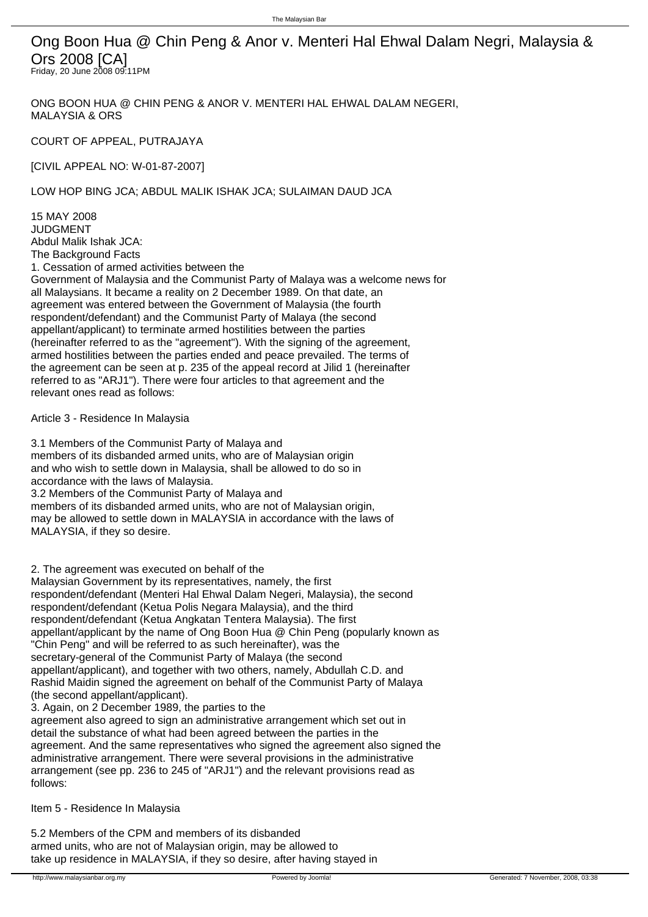Ong Boon Hua @ Chin Peng & Anor v. Menteri Hal Ehwal Dalam Negri, Malaysia & Ors 2008 [CA] Friday, 20 June 2008 09:11PM

ONG BOON HUA @ CHIN PENG & ANOR V. MENTERI HAL EHWAL DALAM NEGERI, MALAYSIA & ORS

COURT OF APPEAL, PUTRAJAYA

[CIVIL APPEAL NO: W-01-87-2007]

LOW HOP BING JCA; ABDUL MALIK ISHAK JCA; SULAIMAN DAUD JCA

15 MAY 2008 JUDGMENT Abdul Malik Ishak JCA: The Background Facts

1. Cessation of armed activities between the

Government of Malaysia and the Communist Party of Malaya was a welcome news for all Malaysians. It became a reality on 2 December 1989. On that date, an agreement was entered between the Government of Malaysia (the fourth respondent/defendant) and the Communist Party of Malaya (the second appellant/applicant) to terminate armed hostilities between the parties (hereinafter referred to as the "agreement"). With the signing of the agreement, armed hostilities between the parties ended and peace prevailed. The terms of the agreement can be seen at p. 235 of the appeal record at Jilid 1 (hereinafter referred to as "ARJ1"). There were four articles to that agreement and the relevant ones read as follows:

 Article 3 - Residence In Malaysia

 3.1 Members of the Communist Party of Malaya and members of its disbanded armed units, who are of Malaysian origin and who wish to settle down in Malaysia, shall be allowed to do so in accordance with the laws of Malaysia. 3.2 Members of the Communist Party of Malaya and members of its disbanded armed units, who are not of Malaysian origin, may be allowed to settle down in MALAYSIA in accordance with the laws of MALAYSIA, if they so desire.

2. The agreement was executed on behalf of the

Malaysian Government by its representatives, namely, the first respondent/defendant (Menteri Hal Ehwal Dalam Negeri, Malaysia), the second respondent/defendant (Ketua Polis Negara Malaysia), and the third respondent/defendant (Ketua Angkatan Tentera Malaysia). The first appellant/applicant by the name of Ong Boon Hua @ Chin Peng (popularly known as "Chin Peng" and will be referred to as such hereinafter), was the secretary-general of the Communist Party of Malaya (the second appellant/applicant), and together with two others, namely, Abdullah C.D. and Rashid Maidin signed the agreement on behalf of the Communist Party of Malaya (the second appellant/applicant).

3. Again, on 2 December 1989, the parties to the

agreement also agreed to sign an administrative arrangement which set out in detail the substance of what had been agreed between the parties in the agreement. And the same representatives who signed the agreement also signed the administrative arrangement. There were several provisions in the administrative arrangement (see pp. 236 to 245 of "ARJ1") and the relevant provisions read as follows:

 Item 5 - Residence In Malaysia

 5.2 Members of the CPM and members of its disbanded armed units, who are not of Malaysian origin, may be allowed to take up residence in MALAYSIA, if they so desire, after having stayed in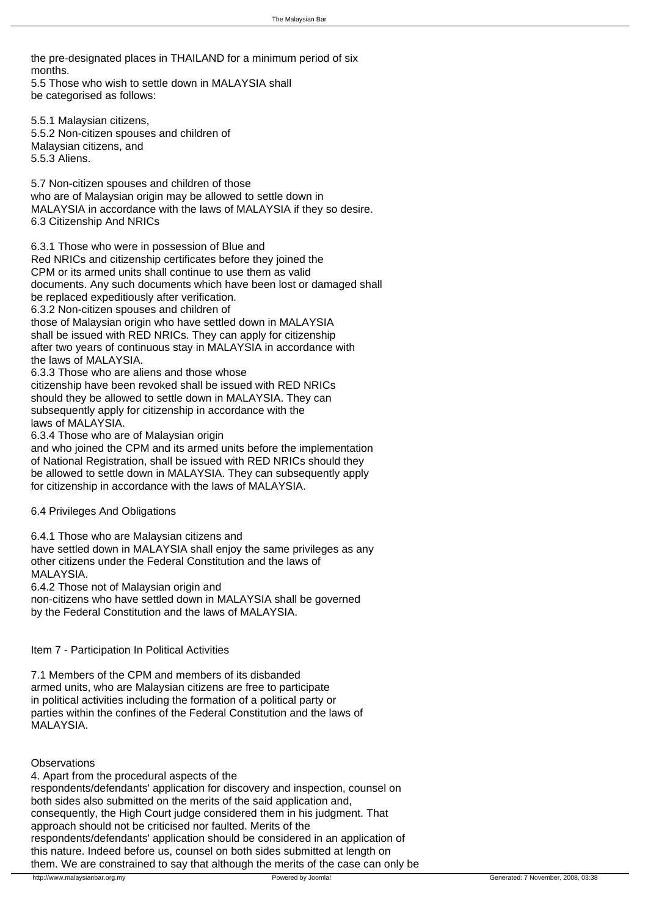the pre-designated places in THAILAND for a minimum period of six months. 5.5 Those who wish to settle down in MALAYSIA shall

 be categorised as follows:

 5.5.1 Malaysian citizens, 5.5.2 Non-citizen spouses and children of Malaysian citizens, and 5.5.3 Aliens.

 5.7 Non-citizen spouses and children of those who are of Malaysian origin may be allowed to settle down in MALAYSIA in accordance with the laws of MALAYSIA if they so desire. 6.3 Citizenship And NRICs

 6.3.1 Those who were in possession of Blue and Red NRICs and citizenship certificates before they joined the CPM or its armed units shall continue to use them as valid documents. Any such documents which have been lost or damaged shall be replaced expeditiously after verification. 6.3.2 Non-citizen spouses and children of those of Malaysian origin who have settled down in MALAYSIA shall be issued with RED NRICs. They can apply for citizenship after two years of continuous stay in MALAYSIA in accordance with the laws of MALAYSIA. 6.3.3 Those who are aliens and those whose citizenship have been revoked shall be issued with RED NRICs should they be allowed to settle down in MALAYSIA. They can subsequently apply for citizenship in accordance with the laws of MALAYSIA. 6.3.4 Those who are of Malaysian origin and who joined the CPM and its armed units before the implementation

 of National Registration, shall be issued with RED NRICs should they be allowed to settle down in MALAYSIA. They can subsequently apply for citizenship in accordance with the laws of MALAYSIA.

 6.4 Privileges And Obligations

 6.4.1 Those who are Malaysian citizens and have settled down in MALAYSIA shall enjoy the same privileges as any other citizens under the Federal Constitution and the laws of MALAYSIA. 6.4.2 Those not of Malaysian origin and

 non-citizens who have settled down in MALAYSIA shall be governed by the Federal Constitution and the laws of MALAYSIA.

 Item 7 - Participation In Political Activities

 7.1 Members of the CPM and members of its disbanded armed units, who are Malaysian citizens are free to participate in political activities including the formation of a political party or parties within the confines of the Federal Constitution and the laws of MAI AYSIA

**Observations** 

4. Apart from the procedural aspects of the respondents/defendants' application for discovery and inspection, counsel on both sides also submitted on the merits of the said application and, consequently, the High Court judge considered them in his judgment. That approach should not be criticised nor faulted. Merits of the respondents/defendants' application should be considered in an application of this nature. Indeed before us, counsel on both sides submitted at length on them. We are constrained to say that although the merits of the case can only be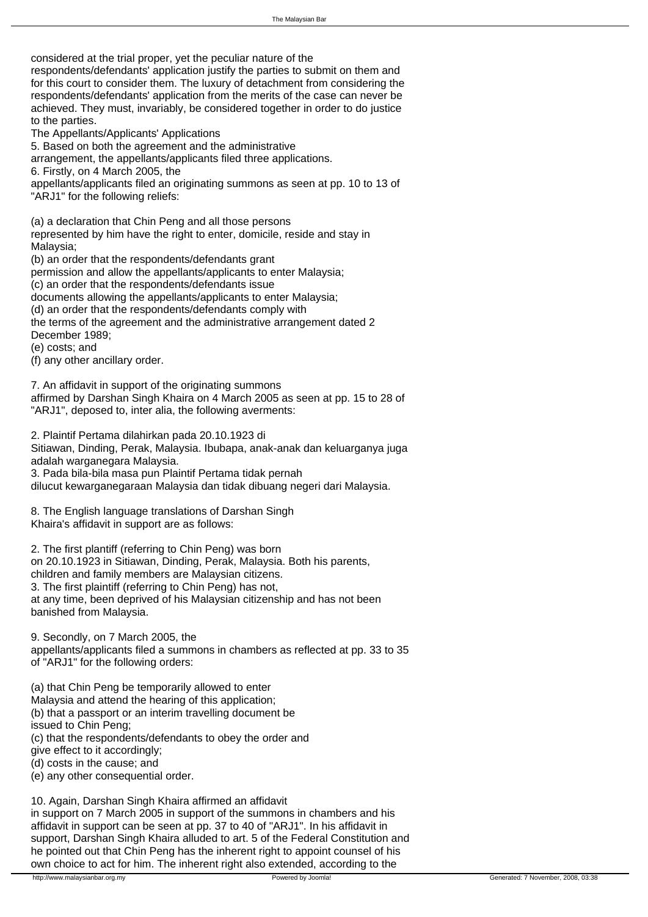considered at the trial proper, yet the peculiar nature of the

respondents/defendants' application justify the parties to submit on them and for this court to consider them. The luxury of detachment from considering the respondents/defendants' application from the merits of the case can never be achieved. They must, invariably, be considered together in order to do justice to the parties.

The Appellants/Applicants' Applications

5. Based on both the agreement and the administrative

arrangement, the appellants/applicants filed three applications.

6. Firstly, on 4 March 2005, the

appellants/applicants filed an originating summons as seen at pp. 10 to 13 of "ARJ1" for the following reliefs:

 (a) a declaration that Chin Peng and all those persons represented by him have the right to enter, domicile, reside and stay in Malaysia;

 (b) an order that the respondents/defendants grant

 permission and allow the appellants/applicants to enter Malaysia;

 (c) an order that the respondents/defendants issue

 documents allowing the appellants/applicants to enter Malaysia;

 (d) an order that the respondents/defendants comply with

 the terms of the agreement and the administrative arrangement dated 2 December 1989;

 (e) costs; and

 (f) any other ancillary order.

7. An affidavit in support of the originating summons affirmed by Darshan Singh Khaira on 4 March 2005 as seen at pp. 15 to 28 of "ARJ1", deposed to, inter alia, the following averments:

 2. Plaintif Pertama dilahirkan pada 20.10.1923 di Sitiawan, Dinding, Perak, Malaysia. Ibubapa, anak-anak dan keluarganya juga adalah warganegara Malaysia. 3. Pada bila-bila masa pun Plaintif Pertama tidak pernah dilucut kewarganegaraan Malaysia dan tidak dibuang negeri dari Malaysia.

8. The English language translations of Darshan Singh Khaira's affidavit in support are as follows:

 2. The first plantiff (referring to Chin Peng) was born on 20.10.1923 in Sitiawan, Dinding, Perak, Malaysia. Both his parents, children and family members are Malaysian citizens. 3. The first plaintiff (referring to Chin Peng) has not, at any time, been deprived of his Malaysian citizenship and has not been banished from Malaysia.

9. Secondly, on 7 March 2005, the appellants/applicants filed a summons in chambers as reflected at pp. 33 to 35 of "ARJ1" for the following orders:

 (a) that Chin Peng be temporarily allowed to enter Malaysia and attend the hearing of this application;

 (b) that a passport or an interim travelling document be

 issued to Chin Peng;

 (c) that the respondents/defendants to obey the order and

 give effect to it accordingly;

 (d) costs in the cause; and

 (e) any other consequential order.

10. Again, Darshan Singh Khaira affirmed an affidavit in support on 7 March 2005 in support of the summons in chambers and his affidavit in support can be seen at pp. 37 to 40 of "ARJ1". In his affidavit in support, Darshan Singh Khaira alluded to art. 5 of the Federal Constitution and he pointed out that Chin Peng has the inherent right to appoint counsel of his own choice to act for him. The inherent right also extended, according to the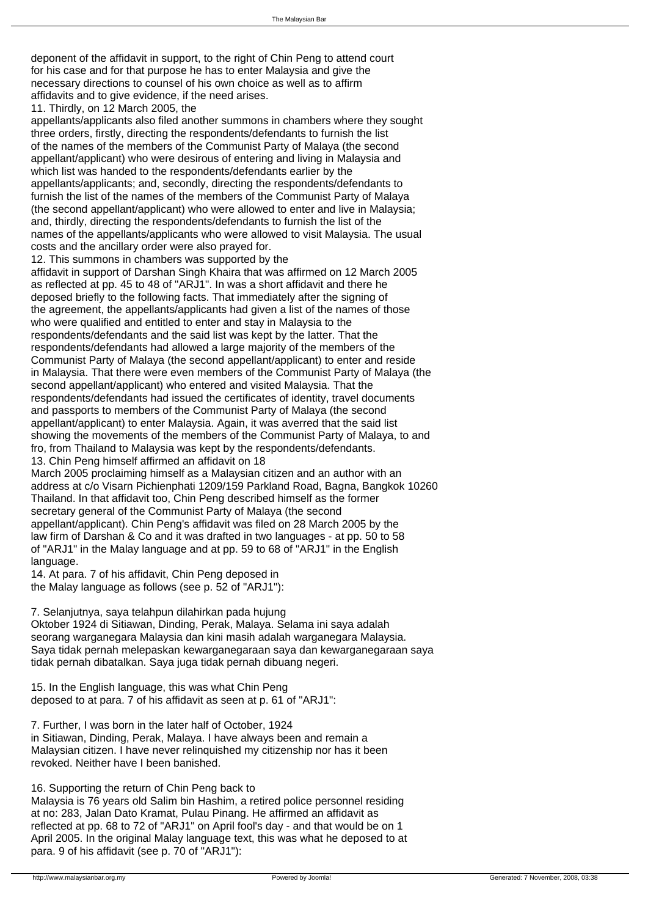deponent of the affidavit in support, to the right of Chin Peng to attend court for his case and for that purpose he has to enter Malaysia and give the necessary directions to counsel of his own choice as well as to affirm affidavits and to give evidence, if the need arises.

11. Thirdly, on 12 March 2005, the

appellants/applicants also filed another summons in chambers where they sought three orders, firstly, directing the respondents/defendants to furnish the list of the names of the members of the Communist Party of Malaya (the second appellant/applicant) who were desirous of entering and living in Malaysia and which list was handed to the respondents/defendants earlier by the appellants/applicants; and, secondly, directing the respondents/defendants to furnish the list of the names of the members of the Communist Party of Malaya (the second appellant/applicant) who were allowed to enter and live in Malaysia; and, thirdly, directing the respondents/defendants to furnish the list of the names of the appellants/applicants who were allowed to visit Malaysia. The usual costs and the ancillary order were also prayed for.

12. This summons in chambers was supported by the affidavit in support of Darshan Singh Khaira that was affirmed on 12 March 2005 as reflected at pp. 45 to 48 of "ARJ1". In was a short affidavit and there he deposed briefly to the following facts. That immediately after the signing of the agreement, the appellants/applicants had given a list of the names of those who were qualified and entitled to enter and stay in Malaysia to the respondents/defendants and the said list was kept by the latter. That the respondents/defendants had allowed a large majority of the members of the Communist Party of Malaya (the second appellant/applicant) to enter and reside in Malaysia. That there were even members of the Communist Party of Malaya (the second appellant/applicant) who entered and visited Malaysia. That the respondents/defendants had issued the certificates of identity, travel documents and passports to members of the Communist Party of Malaya (the second appellant/applicant) to enter Malaysia. Again, it was averred that the said list showing the movements of the members of the Communist Party of Malaya, to and fro, from Thailand to Malaysia was kept by the respondents/defendants. 13. Chin Peng himself affirmed an affidavit on 18

March 2005 proclaiming himself as a Malaysian citizen and an author with an address at c/o Visarn Pichienphati 1209/159 Parkland Road, Bagna, Bangkok 10260 Thailand. In that affidavit too, Chin Peng described himself as the former secretary general of the Communist Party of Malaya (the second appellant/applicant). Chin Peng's affidavit was filed on 28 March 2005 by the law firm of Darshan & Co and it was drafted in two languages - at pp. 50 to 58 of "ARJ1" in the Malay language and at pp. 59 to 68 of "ARJ1" in the English language.

14. At para. 7 of his affidavit, Chin Peng deposed in the Malay language as follows (see p. 52 of "ARJ1"):

 7. Selanjutnya, saya telahpun dilahirkan pada hujung Oktober 1924 di Sitiawan, Dinding, Perak, Malaya. Selama ini saya adalah seorang warganegara Malaysia dan kini masih adalah warganegara Malaysia. Saya tidak pernah melepaskan kewarganegaraan saya dan kewarganegaraan saya tidak pernah dibatalkan. Saya juga tidak pernah dibuang negeri.

15. In the English language, this was what Chin Peng deposed to at para. 7 of his affidavit as seen at p. 61 of "ARJ1":

 7. Further, I was born in the later half of October, 1924 in Sitiawan, Dinding, Perak, Malaya. I have always been and remain a Malaysian citizen. I have never relinquished my citizenship nor has it been revoked. Neither have I been banished.

16. Supporting the return of Chin Peng back to

Malaysia is 76 years old Salim bin Hashim, a retired police personnel residing at no: 283, Jalan Dato Kramat, Pulau Pinang. He affirmed an affidavit as reflected at pp. 68 to 72 of "ARJ1" on April fool's day - and that would be on 1 April 2005. In the original Malay language text, this was what he deposed to at para. 9 of his affidavit (see p. 70 of "ARJ1"):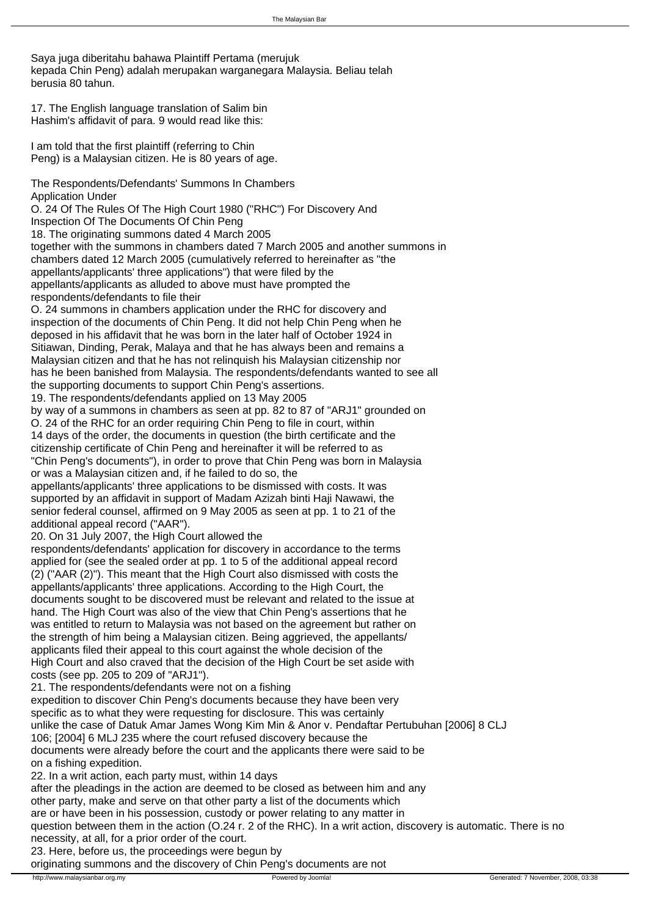Saya juga diberitahu bahawa Plaintiff Pertama (merujuk kepada Chin Peng) adalah merupakan warganegara Malaysia. Beliau telah berusia 80 tahun.

17. The English language translation of Salim bin Hashim's affidavit of para. 9 would read like this:

 I am told that the first plaintiff (referring to Chin Peng) is a Malaysian citizen. He is 80 years of age.

The Respondents/Defendants' Summons In Chambers Application Under O. 24 Of The Rules Of The High Court 1980 ("RHC") For Discovery And Inspection Of The Documents Of Chin Peng 18. The originating summons dated 4 March 2005 together with the summons in chambers dated 7 March 2005 and another summons in chambers dated 12 March 2005 (cumulatively referred to hereinafter as "the appellants/applicants' three applications") that were filed by the appellants/applicants as alluded to above must have prompted the respondents/defendants to file their O. 24 summons in chambers application under the RHC for discovery and inspection of the documents of Chin Peng. It did not help Chin Peng when he deposed in his affidavit that he was born in the later half of October 1924 in Sitiawan, Dinding, Perak, Malaya and that he has always been and remains a Malaysian citizen and that he has not relinquish his Malaysian citizenship nor has he been banished from Malaysia. The respondents/defendants wanted to see all the supporting documents to support Chin Peng's assertions. 19. The respondents/defendants applied on 13 May 2005

by way of a summons in chambers as seen at pp. 82 to 87 of "ARJ1" grounded on O. 24 of the RHC for an order requiring Chin Peng to file in court, within 14 days of the order, the documents in question (the birth certificate and the citizenship certificate of Chin Peng and hereinafter it will be referred to as "Chin Peng's documents"), in order to prove that Chin Peng was born in Malaysia or was a Malaysian citizen and, if he failed to do so, the

appellants/applicants' three applications to be dismissed with costs. It was supported by an affidavit in support of Madam Azizah binti Haji Nawawi, the senior federal counsel, affirmed on 9 May 2005 as seen at pp. 1 to 21 of the additional appeal record ("AAR").

20. On 31 July 2007, the High Court allowed the

respondents/defendants' application for discovery in accordance to the terms applied for (see the sealed order at pp. 1 to 5 of the additional appeal record (2) ("AAR (2)"). This meant that the High Court also dismissed with costs the appellants/applicants' three applications. According to the High Court, the documents sought to be discovered must be relevant and related to the issue at hand. The High Court was also of the view that Chin Peng's assertions that he was entitled to return to Malaysia was not based on the agreement but rather on the strength of him being a Malaysian citizen. Being aggrieved, the appellants/ applicants filed their appeal to this court against the whole decision of the High Court and also craved that the decision of the High Court be set aside with costs (see pp. 205 to 209 of "ARJ1").

21. The respondents/defendants were not on a fishing expedition to discover Chin Peng's documents because they have been very specific as to what they were requesting for disclosure. This was certainly unlike the case of Datuk Amar James Wong Kim Min & Anor v. Pendaftar Pertubuhan [2006] 8 CLJ 106; [2004] 6 MLJ 235 where the court refused discovery because the documents were already before the court and the applicants there were said to be on a fishing expedition.

22. In a writ action, each party must, within 14 days

after the pleadings in the action are deemed to be closed as between him and any other party, make and serve on that other party a list of the documents which

are or have been in his possession, custody or power relating to any matter in

question between them in the action (O.24 r. 2 of the RHC). In a writ action, discovery is automatic. There is no necessity, at all, for a prior order of the court.

23. Here, before us, the proceedings were begun by

originating summons and the discovery of Chin Peng's documents are not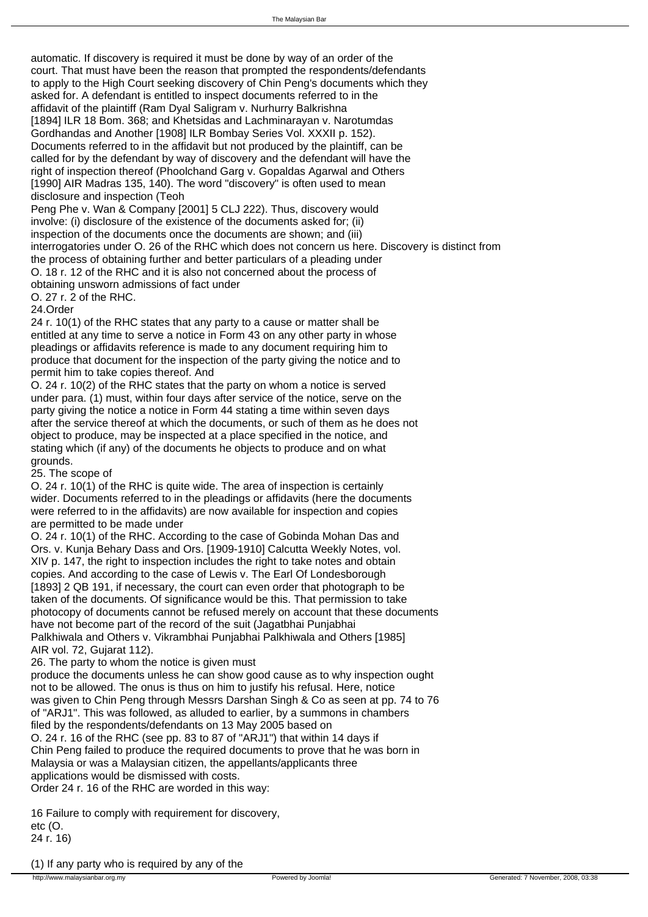automatic. If discovery is required it must be done by way of an order of the court. That must have been the reason that prompted the respondents/defendants to apply to the High Court seeking discovery of Chin Peng's documents which they asked for. A defendant is entitled to inspect documents referred to in the affidavit of the plaintiff (Ram Dyal Saligram v. Nurhurry Balkrishna [1894] ILR 18 Bom. 368; and Khetsidas and Lachminarayan v. Narotumdas Gordhandas and Another [1908] ILR Bombay Series Vol. XXXII p. 152). Documents referred to in the affidavit but not produced by the plaintiff, can be called for by the defendant by way of discovery and the defendant will have the right of inspection thereof (Phoolchand Garg v. Gopaldas Agarwal and Others [1990] AIR Madras 135, 140). The word "discovery" is often used to mean disclosure and inspection (Teoh

Peng Phe v. Wan & Company [2001] 5 CLJ 222). Thus, discovery would involve: (i) disclosure of the existence of the documents asked for; (ii) inspection of the documents once the documents are shown; and (iii) interrogatories under O. 26 of the RHC which does not concern us here. Discovery is distinct from the process of obtaining further and better particulars of a pleading under O. 18 r. 12 of the RHC and it is also not concerned about the process of

obtaining unsworn admissions of fact under

O. 27 r. 2 of the RHC.

24.Order

24 r. 10(1) of the RHC states that any party to a cause or matter shall be entitled at any time to serve a notice in Form 43 on any other party in whose pleadings or affidavits reference is made to any document requiring him to produce that document for the inspection of the party giving the notice and to permit him to take copies thereof. And

O. 24 r. 10(2) of the RHC states that the party on whom a notice is served under para. (1) must, within four days after service of the notice, serve on the party giving the notice a notice in Form 44 stating a time within seven days after the service thereof at which the documents, or such of them as he does not object to produce, may be inspected at a place specified in the notice, and stating which (if any) of the documents he objects to produce and on what grounds.

25. The scope of

O. 24 r. 10(1) of the RHC is quite wide. The area of inspection is certainly wider. Documents referred to in the pleadings or affidavits (here the documents were referred to in the affidavits) are now available for inspection and copies are permitted to be made under

O. 24 r. 10(1) of the RHC. According to the case of Gobinda Mohan Das and Ors. v. Kunja Behary Dass and Ors. [1909-1910] Calcutta Weekly Notes, vol. XIV p. 147, the right to inspection includes the right to take notes and obtain copies. And according to the case of Lewis v. The Earl Of Londesborough [1893] 2 QB 191, if necessary, the court can even order that photograph to be taken of the documents. Of significance would be this. That permission to take photocopy of documents cannot be refused merely on account that these documents have not become part of the record of the suit (Jagatbhai Punjabhai Palkhiwala and Others v. Vikrambhai Punjabhai Palkhiwala and Others [1985] AIR vol. 72, Gujarat 112).

26. The party to whom the notice is given must

produce the documents unless he can show good cause as to why inspection ought not to be allowed. The onus is thus on him to justify his refusal. Here, notice was given to Chin Peng through Messrs Darshan Singh & Co as seen at pp. 74 to 76 of "ARJ1". This was followed, as alluded to earlier, by a summons in chambers filed by the respondents/defendants on 13 May 2005 based on

O. 24 r. 16 of the RHC (see pp. 83 to 87 of "ARJ1") that within 14 days if Chin Peng failed to produce the required documents to prove that he was born in Malaysia or was a Malaysian citizen, the appellants/applicants three applications would be dismissed with costs. Order 24 r. 16 of the RHC are worded in this way:

 16 Failure to comply with requirement for discovery, etc (O.

 24 r. 16)

 (1) If any party who is required by any of the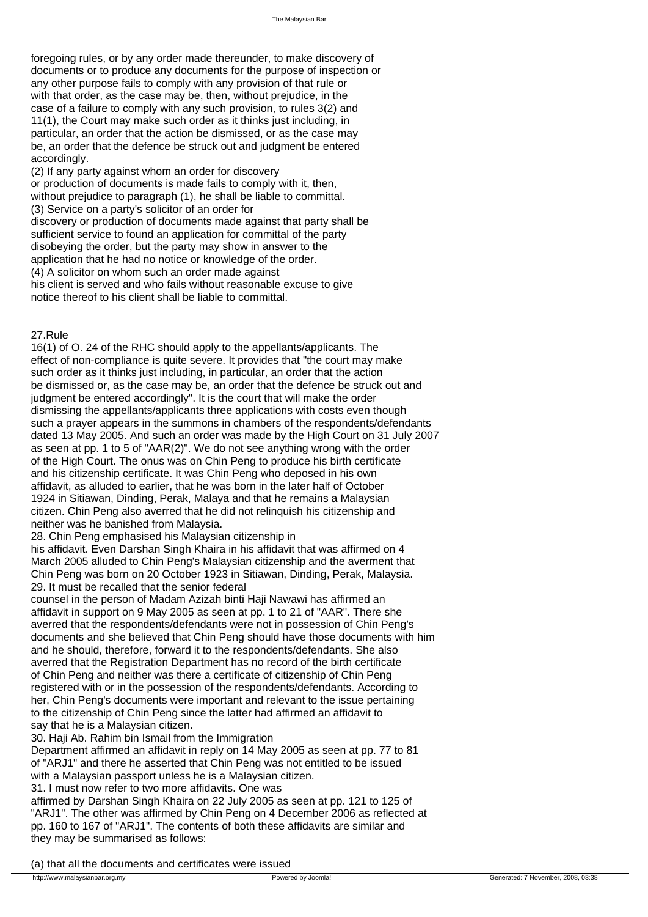foregoing rules, or by any order made thereunder, to make discovery of documents or to produce any documents for the purpose of inspection or any other purpose fails to comply with any provision of that rule or with that order, as the case may be, then, without prejudice, in the case of a failure to comply with any such provision, to rules 3(2) and 11(1), the Court may make such order as it thinks just including, in particular, an order that the action be dismissed, or as the case may be, an order that the defence be struck out and judgment be entered accordingly.

 (2) If any party against whom an order for discovery or production of documents is made fails to comply with it, then, without prejudice to paragraph (1), he shall be liable to committal. (3) Service on a party's solicitor of an order for discovery or production of documents made against that party shall be sufficient service to found an application for committal of the party disobeying the order, but the party may show in answer to the application that he had no notice or knowledge of the order. (4) A solicitor on whom such an order made against his client is served and who fails without reasonable excuse to give notice thereof to his client shall be liable to committal.

# 27.Rule

16(1) of O. 24 of the RHC should apply to the appellants/applicants. The effect of non-compliance is quite severe. It provides that "the court may make such order as it thinks just including, in particular, an order that the action be dismissed or, as the case may be, an order that the defence be struck out and judgment be entered accordingly". It is the court that will make the order dismissing the appellants/applicants three applications with costs even though such a prayer appears in the summons in chambers of the respondents/defendants dated 13 May 2005. And such an order was made by the High Court on 31 July 2007 as seen at pp. 1 to 5 of "AAR(2)". We do not see anything wrong with the order of the High Court. The onus was on Chin Peng to produce his birth certificate and his citizenship certificate. It was Chin Peng who deposed in his own affidavit, as alluded to earlier, that he was born in the later half of October 1924 in Sitiawan, Dinding, Perak, Malaya and that he remains a Malaysian citizen. Chin Peng also averred that he did not relinquish his citizenship and neither was he banished from Malaysia.

28. Chin Peng emphasised his Malaysian citizenship in

his affidavit. Even Darshan Singh Khaira in his affidavit that was affirmed on 4 March 2005 alluded to Chin Peng's Malaysian citizenship and the averment that Chin Peng was born on 20 October 1923 in Sitiawan, Dinding, Perak, Malaysia. 29. It must be recalled that the senior federal

counsel in the person of Madam Azizah binti Haji Nawawi has affirmed an affidavit in support on 9 May 2005 as seen at pp. 1 to 21 of "AAR". There she averred that the respondents/defendants were not in possession of Chin Peng's documents and she believed that Chin Peng should have those documents with him and he should, therefore, forward it to the respondents/defendants. She also averred that the Registration Department has no record of the birth certificate of Chin Peng and neither was there a certificate of citizenship of Chin Peng registered with or in the possession of the respondents/defendants. According to her, Chin Peng's documents were important and relevant to the issue pertaining to the citizenship of Chin Peng since the latter had affirmed an affidavit to say that he is a Malaysian citizen.

30. Haji Ab. Rahim bin Ismail from the Immigration

Department affirmed an affidavit in reply on 14 May 2005 as seen at pp. 77 to 81 of "ARJ1" and there he asserted that Chin Peng was not entitled to be issued with a Malaysian passport unless he is a Malaysian citizen.

31. I must now refer to two more affidavits. One was

affirmed by Darshan Singh Khaira on 22 July 2005 as seen at pp. 121 to 125 of "ARJ1". The other was affirmed by Chin Peng on 4 December 2006 as reflected at pp. 160 to 167 of "ARJ1". The contents of both these affidavits are similar and they may be summarised as follows:

 (a) that all the documents and certificates were issued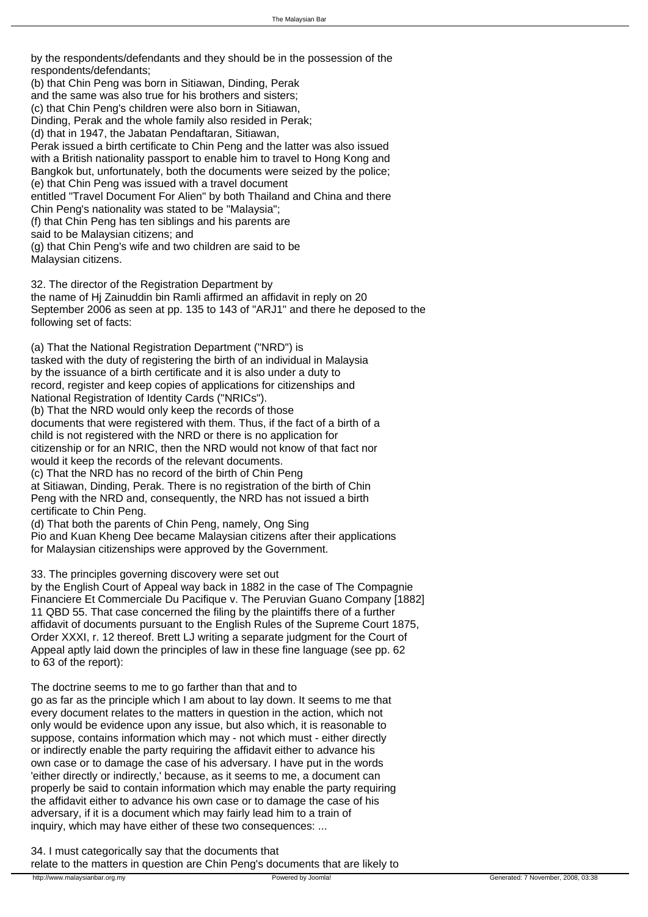by the respondents/defendants and they should be in the possession of the respondents/defendants;

 (b) that Chin Peng was born in Sitiawan, Dinding, Perak and the same was also true for his brothers and sisters; (c) that Chin Peng's children were also born in Sitiawan, Dinding, Perak and the whole family also resided in Perak; (d) that in 1947, the Jabatan Pendaftaran, Sitiawan, Perak issued a birth certificate to Chin Peng and the latter was also issued with a British nationality passport to enable him to travel to Hong Kong and Bangkok but, unfortunately, both the documents were seized by the police; (e) that Chin Peng was issued with a travel document entitled "Travel Document For Alien" by both Thailand and China and there Chin Peng's nationality was stated to be "Malaysia"; (f) that Chin Peng has ten siblings and his parents are said to be Malaysian citizens; and (g) that Chin Peng's wife and two children are said to be Malaysian citizens.

32. The director of the Registration Department by the name of Hj Zainuddin bin Ramli affirmed an affidavit in reply on 20 September 2006 as seen at pp. 135 to 143 of "ARJ1" and there he deposed to the following set of facts:

 (a) That the National Registration Department ("NRD") is tasked with the duty of registering the birth of an individual in Malaysia by the issuance of a birth certificate and it is also under a duty to record, register and keep copies of applications for citizenships and National Registration of Identity Cards ("NRICs"). (b) That the NRD would only keep the records of those documents that were registered with them. Thus, if the fact of a birth of a child is not registered with the NRD or there is no application for citizenship or for an NRIC, then the NRD would not know of that fact nor would it keep the records of the relevant documents. (c) That the NRD has no record of the birth of Chin Peng at Sitiawan, Dinding, Perak. There is no registration of the birth of Chin Peng with the NRD and, consequently, the NRD has not issued a birth certificate to Chin Peng. (d) That both the parents of Chin Peng, namely, Ong Sing

 Pio and Kuan Kheng Dee became Malaysian citizens after their applications for Malaysian citizenships were approved by the Government.

33. The principles governing discovery were set out

by the English Court of Appeal way back in 1882 in the case of The Compagnie Financiere Et Commerciale Du Pacifique v. The Peruvian Guano Company [1882] 11 QBD 55. That case concerned the filing by the plaintiffs there of a further affidavit of documents pursuant to the English Rules of the Supreme Court 1875, Order XXXI, r. 12 thereof. Brett LJ writing a separate judgment for the Court of Appeal aptly laid down the principles of law in these fine language (see pp. 62 to 63 of the report):

 The doctrine seems to me to go farther than that and to go as far as the principle which I am about to lay down. It seems to me that every document relates to the matters in question in the action, which not only would be evidence upon any issue, but also which, it is reasonable to suppose, contains information which may - not which must - either directly or indirectly enable the party requiring the affidavit either to advance his own case or to damage the case of his adversary. I have put in the words 'either directly or indirectly,' because, as it seems to me, a document can properly be said to contain information which may enable the party requiring the affidavit either to advance his own case or to damage the case of his adversary, if it is a document which may fairly lead him to a train of inquiry, which may have either of these two consequences: ...

34. I must categorically say that the documents that relate to the matters in question are Chin Peng's documents that are likely to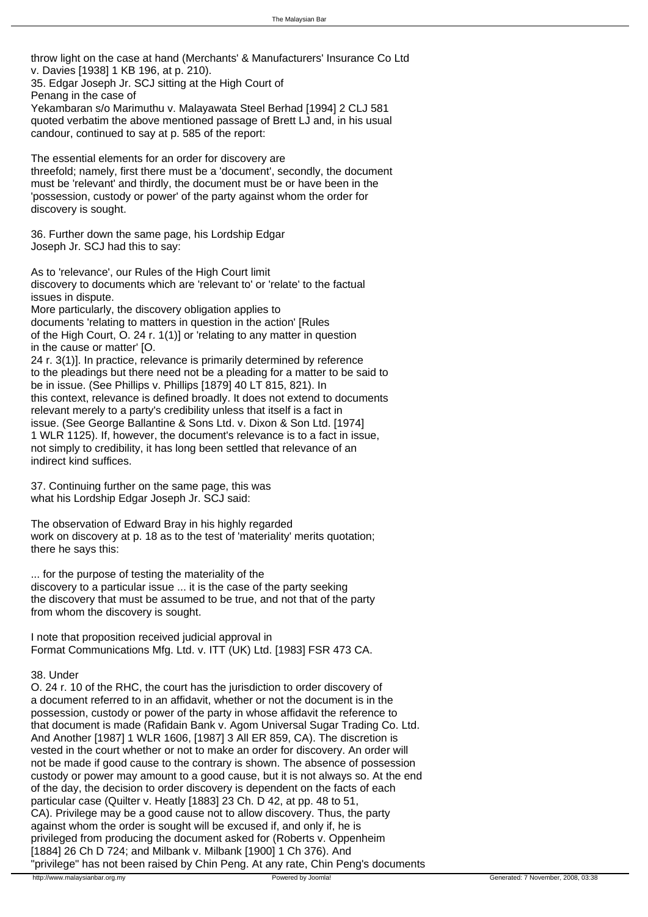throw light on the case at hand (Merchants' & Manufacturers' Insurance Co Ltd v. Davies [1938] 1 KB 196, at p. 210).

35. Edgar Joseph Jr. SCJ sitting at the High Court of Penang in the case of

Yekambaran s/o Marimuthu v. Malayawata Steel Berhad [1994] 2 CLJ 581 quoted verbatim the above mentioned passage of Brett LJ and, in his usual candour, continued to say at p. 585 of the report:

 The essential elements for an order for discovery are threefold; namely, first there must be a 'document', secondly, the document must be 'relevant' and thirdly, the document must be or have been in the 'possession, custody or power' of the party against whom the order for discovery is sought.

36. Further down the same page, his Lordship Edgar Joseph Jr. SCJ had this to say:

 As to 'relevance', our Rules of the High Court limit discovery to documents which are 'relevant to' or 'relate' to the factual issues in dispute. More particularly, the discovery obligation applies to documents 'relating to matters in question in the action' [Rules of the High Court, O. 24 r. 1(1)] or 'relating to any matter in question in the cause or matter' [O. 24 r. 3(1)]. In practice, relevance is primarily determined by reference to the pleadings but there need not be a pleading for a matter to be said to be in issue. (See Phillips v. Phillips [1879] 40 LT 815, 821). In this context, relevance is defined broadly. It does not extend to documents relevant merely to a party's credibility unless that itself is a fact in issue. (See George Ballantine & Sons Ltd. v. Dixon & Son Ltd. [1974] 1 WLR 1125). If, however, the document's relevance is to a fact in issue, not simply to credibility, it has long been settled that relevance of an indirect kind suffices.

37. Continuing further on the same page, this was what his Lordship Edgar Joseph Jr. SCJ said:

 The observation of Edward Bray in his highly regarded work on discovery at p. 18 as to the test of 'materiality' merits quotation; there he says this:

 ... for the purpose of testing the materiality of the discovery to a particular issue ... it is the case of the party seeking the discovery that must be assumed to be true, and not that of the party from whom the discovery is sought.

 I note that proposition received judicial approval in Format Communications Mfg. Ltd. v. ITT (UK) Ltd. [1983] FSR 473 CA.

#### 38. Under

O. 24 r. 10 of the RHC, the court has the jurisdiction to order discovery of a document referred to in an affidavit, whether or not the document is in the possession, custody or power of the party in whose affidavit the reference to that document is made (Rafidain Bank v. Agom Universal Sugar Trading Co. Ltd. And Another [1987] 1 WLR 1606, [1987] 3 All ER 859, CA). The discretion is vested in the court whether or not to make an order for discovery. An order will not be made if good cause to the contrary is shown. The absence of possession custody or power may amount to a good cause, but it is not always so. At the end of the day, the decision to order discovery is dependent on the facts of each particular case (Quilter v. Heatly [1883] 23 Ch. D 42, at pp. 48 to 51, CA). Privilege may be a good cause not to allow discovery. Thus, the party against whom the order is sought will be excused if, and only if, he is privileged from producing the document asked for (Roberts v. Oppenheim [1884] 26 Ch D 724; and Milbank v. Milbank [1900] 1 Ch 376). And "privilege" has not been raised by Chin Peng. At any rate, Chin Peng's documents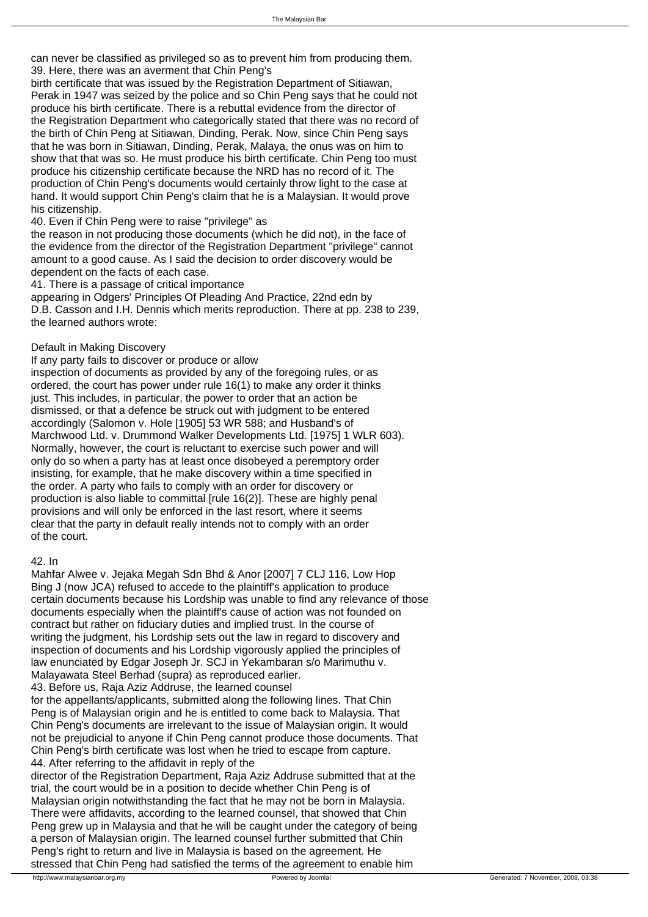can never be classified as privileged so as to prevent him from producing them. 39. Here, there was an averment that Chin Peng's

birth certificate that was issued by the Registration Department of Sitiawan, Perak in 1947 was seized by the police and so Chin Peng says that he could not produce his birth certificate. There is a rebuttal evidence from the director of the Registration Department who categorically stated that there was no record of the birth of Chin Peng at Sitiawan, Dinding, Perak. Now, since Chin Peng says that he was born in Sitiawan, Dinding, Perak, Malaya, the onus was on him to show that that was so. He must produce his birth certificate. Chin Peng too must produce his citizenship certificate because the NRD has no record of it. The production of Chin Peng's documents would certainly throw light to the case at hand. It would support Chin Peng's claim that he is a Malaysian. It would prove his citizenship.

# 40. Even if Chin Peng were to raise "privilege" as

the reason in not producing those documents (which he did not), in the face of the evidence from the director of the Registration Department "privilege" cannot amount to a good cause. As I said the decision to order discovery would be dependent on the facts of each case.

41. There is a passage of critical importance

appearing in Odgers' Principles Of Pleading And Practice, 22nd edn by D.B. Casson and I.H. Dennis which merits reproduction. There at pp. 238 to 239, the learned authors wrote:

### Default in Making Discovery

 If any party fails to discover or produce or allow inspection of documents as provided by any of the foregoing rules, or as ordered, the court has power under rule 16(1) to make any order it thinks just. This includes, in particular, the power to order that an action be dismissed, or that a defence be struck out with judgment to be entered accordingly (Salomon v. Hole [1905] 53 WR 588; and Husband's of Marchwood Ltd. v. Drummond Walker Developments Ltd. [1975] 1 WLR 603). Normally, however, the court is reluctant to exercise such power and will only do so when a party has at least once disobeyed a peremptory order insisting, for example, that he make discovery within a time specified in the order. A party who fails to comply with an order for discovery or production is also liable to committal [rule 16(2)]. These are highly penal provisions and will only be enforced in the last resort, where it seems clear that the party in default really intends not to comply with an order of the court.

### 42. In

Mahfar Alwee v. Jejaka Megah Sdn Bhd & Anor [2007] 7 CLJ 116, Low Hop Bing J (now JCA) refused to accede to the plaintiff's application to produce certain documents because his Lordship was unable to find any relevance of those documents especially when the plaintiff's cause of action was not founded on contract but rather on fiduciary duties and implied trust. In the course of writing the judgment, his Lordship sets out the law in regard to discovery and inspection of documents and his Lordship vigorously applied the principles of law enunciated by Edgar Joseph Jr. SCJ in Yekambaran s/o Marimuthu v. Malayawata Steel Berhad (supra) as reproduced earlier. 43. Before us, Raja Aziz Addruse, the learned counsel for the appellants/applicants, submitted along the following lines. That Chin Peng is of Malaysian origin and he is entitled to come back to Malaysia. That Chin Peng's documents are irrelevant to the issue of Malaysian origin. It would not be prejudicial to anyone if Chin Peng cannot produce those documents. That Chin Peng's birth certificate was lost when he tried to escape from capture.

44. After referring to the affidavit in reply of the

director of the Registration Department, Raja Aziz Addruse submitted that at the trial, the court would be in a position to decide whether Chin Peng is of Malaysian origin notwithstanding the fact that he may not be born in Malaysia. There were affidavits, according to the learned counsel, that showed that Chin Peng grew up in Malaysia and that he will be caught under the category of being a person of Malaysian origin. The learned counsel further submitted that Chin Peng's right to return and live in Malaysia is based on the agreement. He stressed that Chin Peng had satisfied the terms of the agreement to enable him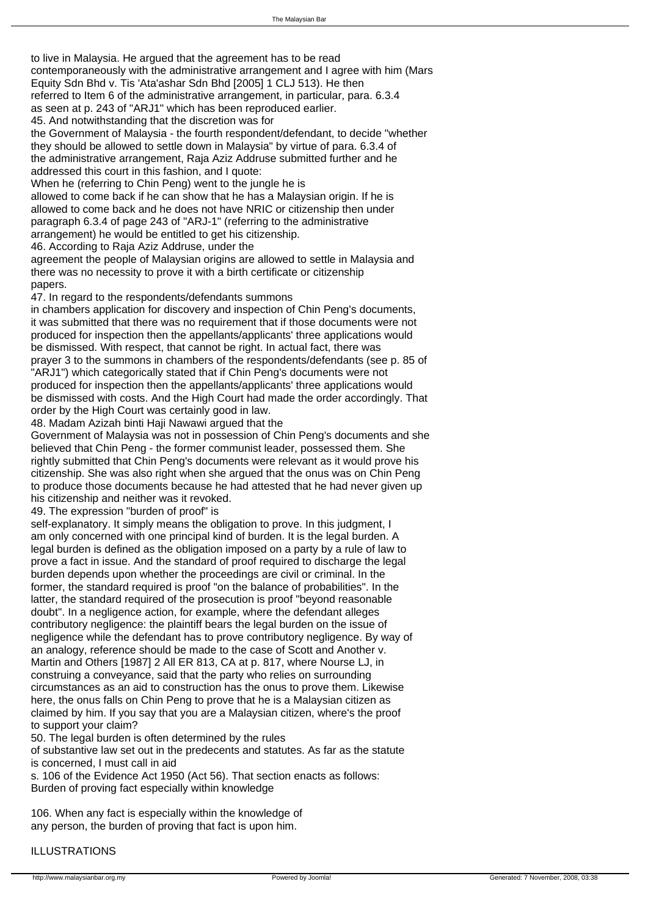to live in Malaysia. He argued that the agreement has to be read contemporaneously with the administrative arrangement and I agree with him (Mars Equity Sdn Bhd v. Tis 'Ata'ashar Sdn Bhd [2005] 1 CLJ 513). He then

referred to Item 6 of the administrative arrangement, in particular, para. 6.3.4

as seen at p. 243 of "ARJ1" which has been reproduced earlier.

45. And notwithstanding that the discretion was for

the Government of Malaysia - the fourth respondent/defendant, to decide "whether they should be allowed to settle down in Malaysia" by virtue of para. 6.3.4 of the administrative arrangement, Raja Aziz Addruse submitted further and he addressed this court in this fashion, and I quote:

When he (referring to Chin Peng) went to the jungle he is

allowed to come back if he can show that he has a Malaysian origin. If he is allowed to come back and he does not have NRIC or citizenship then under paragraph 6.3.4 of page 243 of "ARJ-1" (referring to the administrative

arrangement) he would be entitled to get his citizenship.

46. According to Raja Aziz Addruse, under the

agreement the people of Malaysian origins are allowed to settle in Malaysia and there was no necessity to prove it with a birth certificate or citizenship papers.

47. In regard to the respondents/defendants summons

in chambers application for discovery and inspection of Chin Peng's documents, it was submitted that there was no requirement that if those documents were not produced for inspection then the appellants/applicants' three applications would be dismissed. With respect, that cannot be right. In actual fact, there was prayer 3 to the summons in chambers of the respondents/defendants (see p. 85 of "ARJ1") which categorically stated that if Chin Peng's documents were not produced for inspection then the appellants/applicants' three applications would be dismissed with costs. And the High Court had made the order accordingly. That order by the High Court was certainly good in law.

48. Madam Azizah binti Haji Nawawi argued that the

Government of Malaysia was not in possession of Chin Peng's documents and she believed that Chin Peng - the former communist leader, possessed them. She rightly submitted that Chin Peng's documents were relevant as it would prove his citizenship. She was also right when she argued that the onus was on Chin Peng to produce those documents because he had attested that he had never given up his citizenship and neither was it revoked.

49. The expression "burden of proof" is

self-explanatory. It simply means the obligation to prove. In this judgment, I am only concerned with one principal kind of burden. It is the legal burden. A legal burden is defined as the obligation imposed on a party by a rule of law to prove a fact in issue. And the standard of proof required to discharge the legal burden depends upon whether the proceedings are civil or criminal. In the former, the standard required is proof "on the balance of probabilities". In the latter, the standard required of the prosecution is proof "beyond reasonable doubt". In a negligence action, for example, where the defendant alleges contributory negligence: the plaintiff bears the legal burden on the issue of negligence while the defendant has to prove contributory negligence. By way of an analogy, reference should be made to the case of Scott and Another v. Martin and Others [1987] 2 All ER 813, CA at p. 817, where Nourse LJ, in construing a conveyance, said that the party who relies on surrounding circumstances as an aid to construction has the onus to prove them. Likewise here, the onus falls on Chin Peng to prove that he is a Malaysian citizen as claimed by him. If you say that you are a Malaysian citizen, where's the proof to support your claim?

50. The legal burden is often determined by the rules

of substantive law set out in the predecents and statutes. As far as the statute is concerned, I must call in aid

s. 106 of the Evidence Act 1950 (Act 56). That section enacts as follows: Burden of proving fact especially within knowledge

 106. When any fact is especially within the knowledge of any person, the burden of proving that fact is upon him.

# ILLUSTRATIONS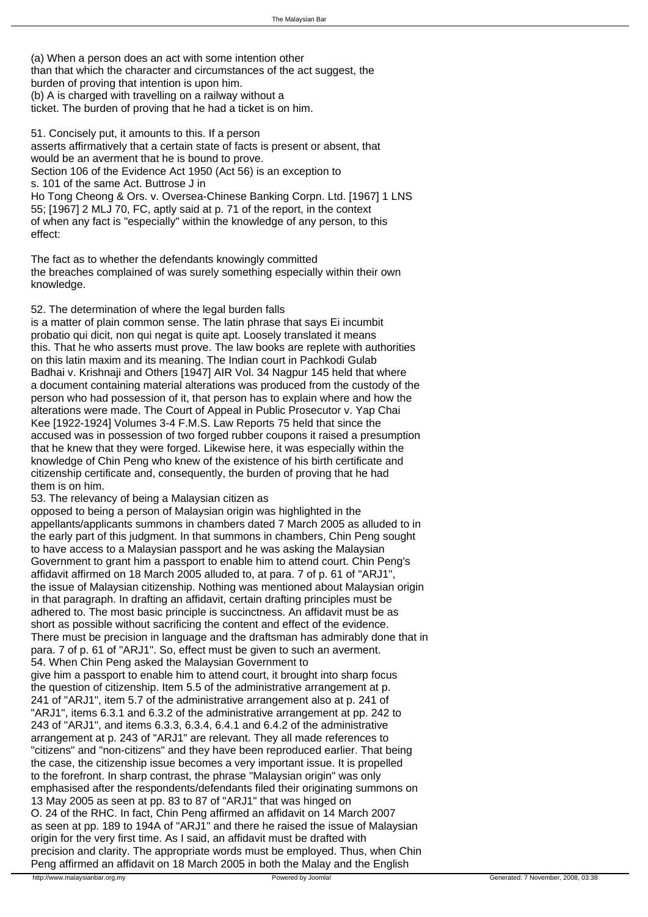(a) When a person does an act with some intention other than that which the character and circumstances of the act suggest, the burden of proving that intention is upon him. (b) A is charged with travelling on a railway without a ticket. The burden of proving that he had a ticket is on him.

51. Concisely put, it amounts to this. If a person asserts affirmatively that a certain state of facts is present or absent, that would be an averment that he is bound to prove. Section 106 of the Evidence Act 1950 (Act 56) is an exception to s. 101 of the same Act. Buttrose J in Ho Tong Cheong & Ors. v. Oversea-Chinese Banking Corpn. Ltd. [1967] 1 LNS 55; [1967] 2 MLJ 70, FC, aptly said at p. 71 of the report, in the context of when any fact is "especially" within the knowledge of any person, to this effect:

 The fact as to whether the defendants knowingly committed the breaches complained of was surely something especially within their own knowledge.

52. The determination of where the legal burden falls

is a matter of plain common sense. The latin phrase that says Ei incumbit probatio qui dicit, non qui negat is quite apt. Loosely translated it means this. That he who asserts must prove. The law books are replete with authorities on this latin maxim and its meaning. The Indian court in Pachkodi Gulab Badhai v. Krishnaji and Others [1947] AIR Vol. 34 Nagpur 145 held that where a document containing material alterations was produced from the custody of the person who had possession of it, that person has to explain where and how the alterations were made. The Court of Appeal in Public Prosecutor v. Yap Chai Kee [1922-1924] Volumes 3-4 F.M.S. Law Reports 75 held that since the accused was in possession of two forged rubber coupons it raised a presumption that he knew that they were forged. Likewise here, it was especially within the knowledge of Chin Peng who knew of the existence of his birth certificate and citizenship certificate and, consequently, the burden of proving that he had them is on him.

53. The relevancy of being a Malaysian citizen as

opposed to being a person of Malaysian origin was highlighted in the appellants/applicants summons in chambers dated 7 March 2005 as alluded to in the early part of this judgment. In that summons in chambers, Chin Peng sought to have access to a Malaysian passport and he was asking the Malaysian Government to grant him a passport to enable him to attend court. Chin Peng's affidavit affirmed on 18 March 2005 alluded to, at para. 7 of p. 61 of "ARJ1", the issue of Malaysian citizenship. Nothing was mentioned about Malaysian origin in that paragraph. In drafting an affidavit, certain drafting principles must be adhered to. The most basic principle is succinctness. An affidavit must be as short as possible without sacrificing the content and effect of the evidence. There must be precision in language and the draftsman has admirably done that in para. 7 of p. 61 of "ARJ1". So, effect must be given to such an averment. 54. When Chin Peng asked the Malaysian Government to give him a passport to enable him to attend court, it brought into sharp focus the question of citizenship. Item 5.5 of the administrative arrangement at p. 241 of "ARJ1", item 5.7 of the administrative arrangement also at p. 241 of "ARJ1", items 6.3.1 and 6.3.2 of the administrative arrangement at pp. 242 to 243 of "ARJ1", and items 6.3.3, 6.3.4, 6.4.1 and 6.4.2 of the administrative arrangement at p. 243 of "ARJ1" are relevant. They all made references to "citizens" and "non-citizens" and they have been reproduced earlier. That being the case, the citizenship issue becomes a very important issue. It is propelled to the forefront. In sharp contrast, the phrase "Malaysian origin" was only emphasised after the respondents/defendants filed their originating summons on 13 May 2005 as seen at pp. 83 to 87 of "ARJ1" that was hinged on O. 24 of the RHC. In fact, Chin Peng affirmed an affidavit on 14 March 2007 as seen at pp. 189 to 194A of "ARJ1" and there he raised the issue of Malaysian origin for the very first time. As I said, an affidavit must be drafted with precision and clarity. The appropriate words must be employed. Thus, when Chin Peng affirmed an affidavit on 18 March 2005 in both the Malay and the English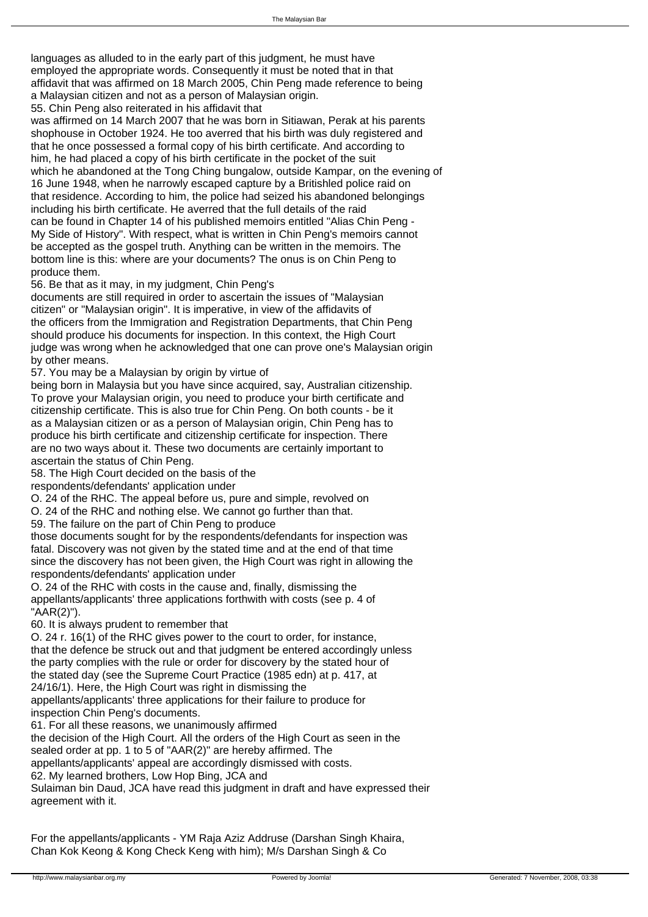languages as alluded to in the early part of this judgment, he must have employed the appropriate words. Consequently it must be noted that in that affidavit that was affirmed on 18 March 2005, Chin Peng made reference to being a Malaysian citizen and not as a person of Malaysian origin.

55. Chin Peng also reiterated in his affidavit that

was affirmed on 14 March 2007 that he was born in Sitiawan, Perak at his parents shophouse in October 1924. He too averred that his birth was duly registered and that he once possessed a formal copy of his birth certificate. And according to him, he had placed a copy of his birth certificate in the pocket of the suit which he abandoned at the Tong Ching bungalow, outside Kampar, on the evening of 16 June 1948, when he narrowly escaped capture by a Britishled police raid on that residence. According to him, the police had seized his abandoned belongings including his birth certificate. He averred that the full details of the raid can be found in Chapter 14 of his published memoirs entitled "Alias Chin Peng - My Side of History". With respect, what is written in Chin Peng's memoirs cannot be accepted as the gospel truth. Anything can be written in the memoirs. The bottom line is this: where are your documents? The onus is on Chin Peng to produce them.

56. Be that as it may, in my judgment, Chin Peng's

documents are still required in order to ascertain the issues of "Malaysian citizen" or "Malaysian origin". It is imperative, in view of the affidavits of the officers from the Immigration and Registration Departments, that Chin Peng should produce his documents for inspection. In this context, the High Court judge was wrong when he acknowledged that one can prove one's Malaysian origin by other means.

57. You may be a Malaysian by origin by virtue of

being born in Malaysia but you have since acquired, say, Australian citizenship. To prove your Malaysian origin, you need to produce your birth certificate and citizenship certificate. This is also true for Chin Peng. On both counts - be it as a Malaysian citizen or as a person of Malaysian origin, Chin Peng has to produce his birth certificate and citizenship certificate for inspection. There are no two ways about it. These two documents are certainly important to ascertain the status of Chin Peng.

58. The High Court decided on the basis of the

respondents/defendants' application under

O. 24 of the RHC. The appeal before us, pure and simple, revolved on

O. 24 of the RHC and nothing else. We cannot go further than that.

59. The failure on the part of Chin Peng to produce

those documents sought for by the respondents/defendants for inspection was fatal. Discovery was not given by the stated time and at the end of that time since the discovery has not been given, the High Court was right in allowing the respondents/defendants' application under

O. 24 of the RHC with costs in the cause and, finally, dismissing the appellants/applicants' three applications forthwith with costs (see p. 4 of "AAR(2)").

60. It is always prudent to remember that

O. 24 r. 16(1) of the RHC gives power to the court to order, for instance, that the defence be struck out and that judgment be entered accordingly unless the party complies with the rule or order for discovery by the stated hour of the stated day (see the Supreme Court Practice (1985 edn) at p. 417, at 24/16/1). Here, the High Court was right in dismissing the appellants/applicants' three applications for their failure to produce for inspection Chin Peng's documents.

61. For all these reasons, we unanimously affirmed

the decision of the High Court. All the orders of the High Court as seen in the sealed order at pp. 1 to 5 of "AAR(2)" are hereby affirmed. The appellants/applicants' appeal are accordingly dismissed with costs. 62. My learned brothers, Low Hop Bing, JCA and Sulaiman bin Daud, JCA have read this judgment in draft and have expressed their agreement with it.

For the appellants/applicants - YM Raja Aziz Addruse (Darshan Singh Khaira, Chan Kok Keong & Kong Check Keng with him); M/s Darshan Singh & Co